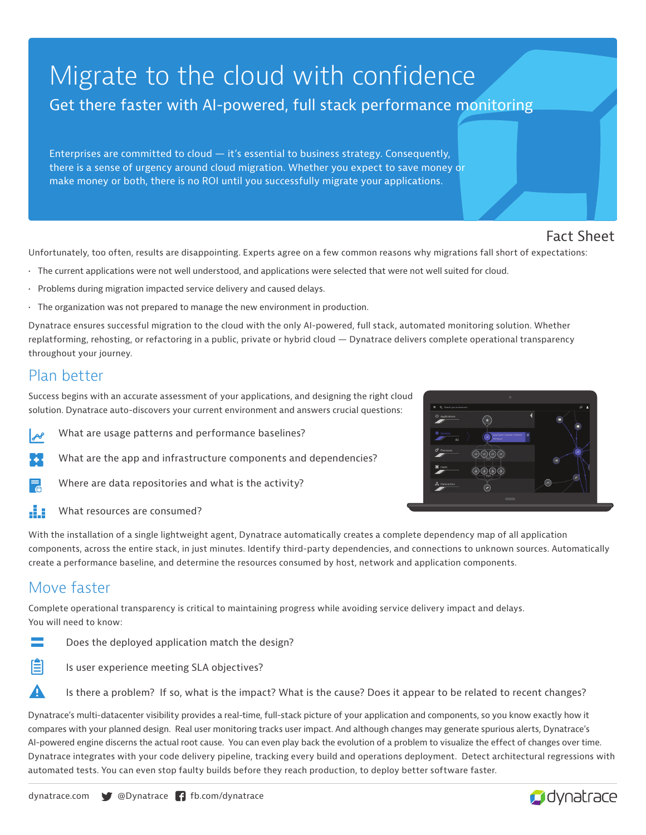# Migrate to the cloud with confidence Get there faster with AI-powered, full stack performance monitoring

Enterprises are committed to cloud  $-$  it's essential to business strategy. Consequently, there is a sense of urgency around cloud migration. Whether you expect to save money or make money or both, there is no ROI until you successfully migrate your applications.

#### Fact Sheet

Unfortunately, too often, results are disappointing. Experts agree on a few common reasons why migrations fall short of expectations:

- The current applications were not well understood, and applications were selected that were not well suited for cloud.
- Problems during migration impacted service delivery and caused delays.
- The organization was not prepared to manage the new environment in production.

Dynatrace ensures successful migration to the cloud with the only AI-powered, full stack, automated monitoring solution. Whether replatforming, rehosting, or refactoring in a public, private or hybrid cloud — Dynatrace delivers complete operational transparency throughout your journey.

#### Plan better

Success begins with an accurate assessment of your applications, and designing the right cloud solution. Dynatrace auto-discovers your current environment and answers crucial questions:

- What are usage patterns and performance baselines?  $\mathcal{A}$
- What are the app and infrastructure components and dependencies?
- Where are data repositories and what is the activity?
- 43 What resources are consumed?

With the installation of a single lightweight agent, Dynatrace automatically creates a complete dependency map of all application components, across the entire stack, in just minutes. Identify third-party dependencies, and connections to unknown sources. Automatically create a performance baseline, and determine the resources consumed by host, network and application components.

### Move faster

Complete operational transparency is critical to maintaining progress while avoiding service delivery impact and delays. You will need to know:

- Does the deployed application match the design?
- E Is user experience meeting SLA objectives?
	- Is there a problem? If so, what is the impact? What is the cause? Does it appear to be related to recent changes?

Dynatrace's multi-datacenter visibility provides a real-time, full-stack picture of your application and components, so you know exactly how it compares with your planned design. Real user monitoring tracks user impact. And although changes may generate spurious alerts, Dynatrace's AI-powered engine discerns the actual root cause. You can even play back the evolution of a problem to visualize the effect of changes over time. Dynatrace integrates with your code delivery pipeline, tracking every build and operations deployment. Detect architectural regressions with automated tests. You can even stop faulty builds before they reach production, to deploy better software faster.